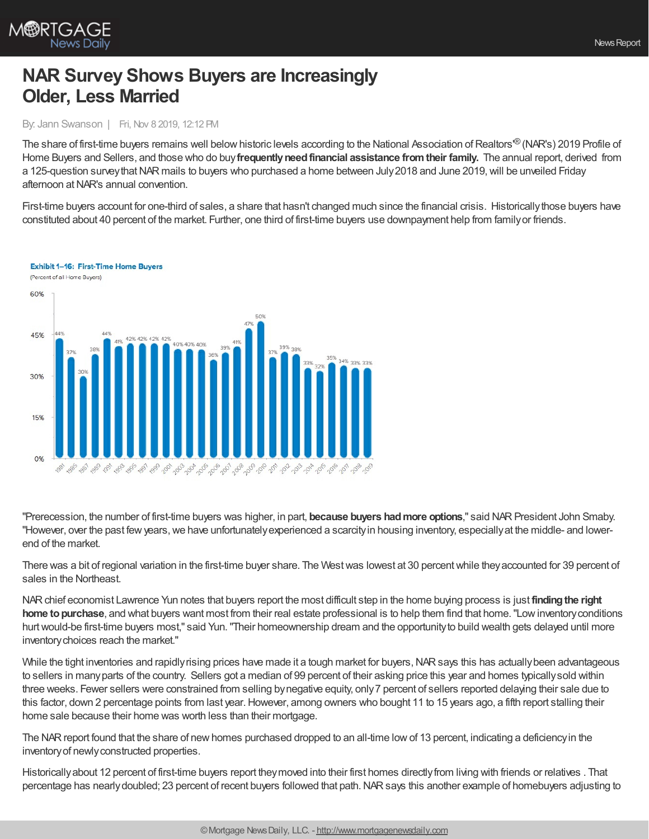

# **NAR Survey Shows Buyers are Increasingly Older, Less Married**

### By: Jann Swanson | Fri, Nov 8 2019, 12:12 PM

The share of first-time buyers remains well below historic levels according to the National Association of Realtors'® (NAR's) 2019 Profile of Home Buyers and Sellers, and those who do buy**frequentlyneedfinancial assistance fromtheir family.** The annual report, derived from a 125-question surveythatNAR mails to buyers who purchased a home between July2018 and June 2019,will be unveiled Friday afternoon atNAR's annual convention.

First-time buyers account for one-third of sales, a share that hasn't changed much since the financial crisis. Historicallythose buyers have constituted about 40 percent of the market. Further, one third of first-time buyers use downpayment help from familyor friends.



**Exhibit 1-16: First-Time Home Buvers** 

"Prerecession, the number of first-time buyers was higher, in part, **because buyers hadmore options**," said NARPresident John Smaby. "However, over the past few years, we have unfortunately experienced a scarcity in housing inventory, especially at the middle- and lowerend of the market.

There was a bit of regional variation in the first-time buyer share. The West was lowest at 30 percent while they accounted for 39 percent of sales in the Northeast.

NARchief economist Lawrence Yun notes that buyers report the most difficult step in the home buying process is just **findingthe right home to purchase**, and what buyers want most from their real estate professional is to help them find that home. "Low inventory conditions hurt would-be first-time buyers most," said Yun. "Their homeownership dream and the opportunity to build wealth gets delayed until more inventorychoices reach the market."

While the tight inventories and rapidly rising prices have made it a tough market for buyers, NAR says this has actually been advantageous to sellers in manyparts of the country. Sellers got a median of 99 percent of their asking price this year and homes typicallysold within three weeks. Fewer sellers were constrained from selling bynegative equity, only7 percent of sellers reported delaying their sale due to this factor, down 2 percentage points from last year. However, among owners who bought 11 to 15 years ago, a fifth report stalling their home sale because their home was worth less than their mortgage.

The NARreport found that the share of newhomes purchased dropped to an all-time lowof 13 percent, indicating a deficiencyin the inventory of newly constructed properties.

Historicallyabout 12 percent of first-time buyers report theymoved into their first homes directlyfrom living with friends or relatives . That percentage has nearlydoubled; 23 percent of recent buyers followed that path.NARsays this another example of homebuyers adjusting to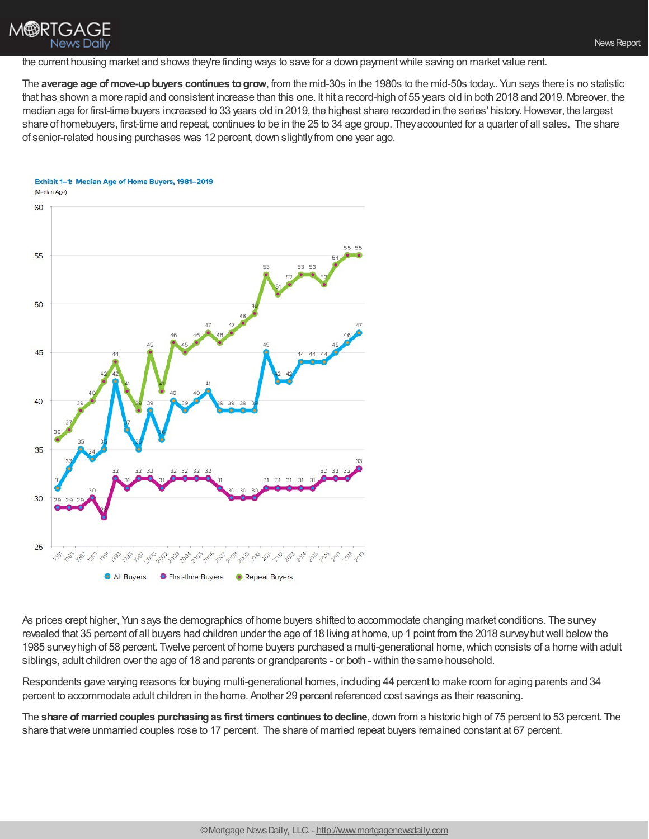## **M®RTGA** News Daily

the current housing market and shows they're finding ways to save for a down payment while saving on market value rent.

The **average age of move-upbuyers continues togrow**, from the mid-30s in the 1980s to the mid-50s today.. Yun says there is no statistic that has shown a more rapid and consistent increase than this one. It hit a record-high of 55 years old in both 2018 and 2019. Moreover, the median age for first-time buyers increased to 33 years old in 2019, the highest share recorded in the series' history. However, the largest share of homebuyers, first-time and repeat, continues to be in the 25 to 34 age group. Theyaccounted for a quarter of all sales. The share of senior-related housing purchases was 12 percent, down slightly from one year ago.

#### Exhibit 1-1: Median Age of Home Buyers, 1981-2019



As prices crept higher, Yun says the demographics of home buyers shifted to accommodate changing market conditions. The survey revealed that 35 percent of all buyers had children under the age of 18 living at home, up 1 point from the 2018 survey but well below the 1985 surveyhigh of 58 percent. Twelve percent of home buyers purchased a multi-generational home,which consists of a home with adult siblings, adult children over the age of 18 and parents or grandparents - or both - within the same household.

Respondents gave varying reasons for buying multi-generational homes, including 44 percent to make room for aging parents and 34 percent to accommodate adult children in the home. Another 29 percent referenced cost savings as their reasoning.

The **share of marriedcouples purchasingas first timers continues todecline**, down from a historic high of 75 percent to 53 percent. The share thatwere unmarried couples rose to 17 percent. The share of married repeat buyers remained constant at 67 percent.